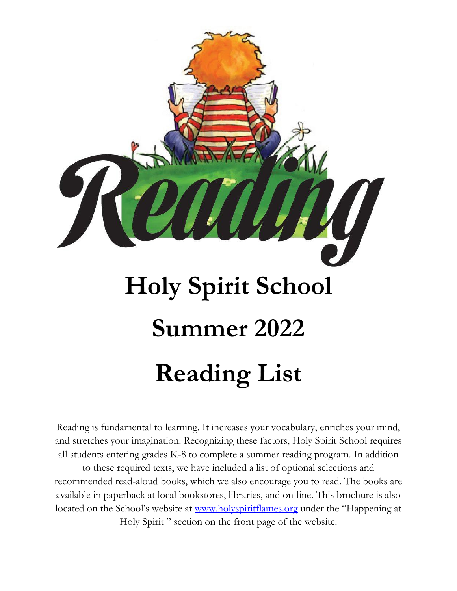

Reading is fundamental to learning. It increases your vocabulary, enriches your mind, and stretches your imagination. Recognizing these factors, Holy Spirit School requires all students entering grades K-8 to complete a summer reading program. In addition

to these required texts, we have included a list of optional selections and recommended read-aloud books, which we also encourage you to read. The books are available in paperback at local bookstores, libraries, and on-line. This brochure is also located on the School's website at [www.holyspiritflames.org](http://www.holyspiritflames.org/) under the "Happening at Holy Spirit " section on the front page of the website.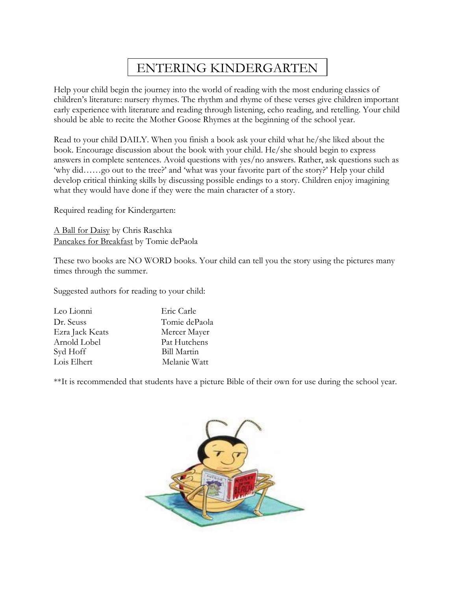### ENTERING KINDERGARTEN

Help your child begin the journey into the world of reading with the most enduring classics of children's literature: nursery rhymes. The rhythm and rhyme of these verses give children important early experience with literature and reading through listening, echo reading, and retelling. Your child should be able to recite the Mother Goose Rhymes at the beginning of the school year.

Read to your child DAILY. When you finish a book ask your child what he/she liked about the book. Encourage discussion about the book with your child. He/she should begin to express answers in complete sentences. Avoid questions with yes/no answers. Rather, ask questions such as 'why did……go out to the tree?' and 'what was your favorite part of the story?' Help your child develop critical thinking skills by discussing possible endings to a story. Children enjoy imagining what they would have done if they were the main character of a story.

Required reading for Kindergarten:

A Ball for Daisy by Chris Raschka Pancakes for Breakfast by Tomie dePaola

These two books are NO WORD books. Your child can tell you the story using the pictures many times through the summer.

Suggested authors for reading to your child:

| Leo Lionni      | Eric Carle         |
|-----------------|--------------------|
| Dr. Seuss       | Tomie dePaola      |
| Ezra Jack Keats | Mercer Mayer       |
| Arnold Lobel    | Pat Hutchens       |
| Syd Hoff        | <b>Bill Martin</b> |
| Lois Elhert     | Melanie Watt       |

\*\*It is recommended that students have a picture Bible of their own for use during the school year.

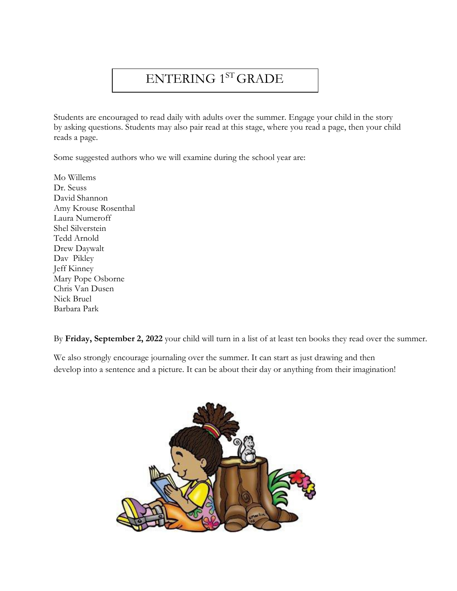# ENTERING 1ST GRADE

Students are encouraged to read daily with adults over the summer. Engage your child in the story by asking questions. Students may also pair read at this stage, where you read a page, then your child reads a page.

Some suggested authors who we will examine during the school year are:

Mo Willems Dr. Seuss David Shannon Amy Krouse Rosenthal Laura Numeroff Shel Silverstein Tedd Arnold Drew Daywalt Dav Pikley Jeff Kinney Mary Pope Osborne Chris Van Dusen Nick Bruel Barbara Park

By **Friday, September 2, 2022** your child will turn in a list of at least ten books they read over the summer.

We also strongly encourage journaling over the summer. It can start as just drawing and then develop into a sentence and a picture. It can be about their day or anything from their imagination!

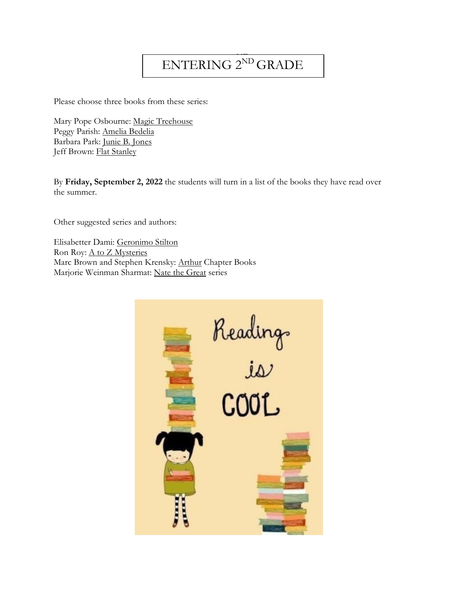# ENTERING 2<sup>ND</sup> GRADE

Please choose three books from these series:

Mary Pope Osbourne: Magic Treehouse Peggy Parish: Amelia Bedelia Barbara Park: Junie B. Jones Jeff Brown: Flat Stanley

By **Friday, September 2, 2022** the students will turn in a list of the books they have read over the summer.

Other suggested series and authors:

Elisabetter Dami: Geronimo Stilton Ron Roy: A to Z Mysteries Marc Brown and Stephen Krensky: Arthur Chapter Books Marjorie Weinman Sharmat: Nate the Great series

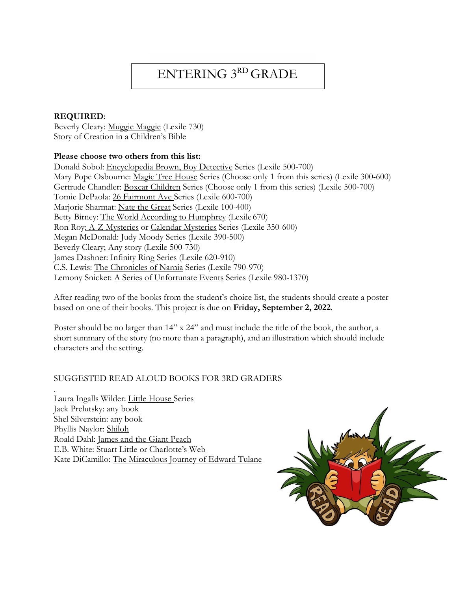# ENTERING 3RD GRADE

#### **REQUIRED**:

Beverly Cleary: Muggie Maggie (Lexile 730) Story of Creation in a Children's Bible

#### **Please choose two others from this list:**

Donald Sobol: Encyclopedia Brown, Boy Detective Series (Lexile 500-700) Mary Pope Osbourne: Magic Tree House Series (Choose only 1 from this series) (Lexile 300-600) Gertrude Chandler: Boxcar Children Series (Choose only 1 from this series) (Lexile 500-700) Tomie DePaola: 26 Fairmont Ave Series (Lexile 600-700) Marjorie Sharmat: Nate the Great Series (Lexile 100-400) Betty Birney: The World According to Humphrey (Lexile 670) Ron Roy: A-Z Mysteries or Calendar Mysteries Series (Lexile 350-600) Megan McDonald: Judy Moody Series (Lexile 390-500) Beverly Cleary; Any story (Lexile 500-730) James Dashner: Infinity Ring Series (Lexile 620-910) C.S. Lewis: The Chronicles of Narnia Series (Lexile 790-970) Lemony Snicket: A Series of Unfortunate Events Series (Lexile 980-1370)

After reading two of the books from the student's choice list, the students should create a poster based on one of their books. This project is due on **Friday, September 2, 2022**.

Poster should be no larger than  $14''$  x  $24''$  and must include the title of the book, the author, a short summary of the story (no more than a paragraph), and an illustration which should include characters and the setting.

#### SUGGESTED READ ALOUD BOOKS FOR 3RD GRADERS

. Laura Ingalls Wilder: Little House Series Jack Prelutsky: any book Shel Silverstein: any book Phyllis Naylor: Shiloh Roald Dahl: James and the Giant Peach E.B. White: Stuart Little or Charlotte's Web Kate DiCamillo: The Miraculous Journey of Edward Tulane

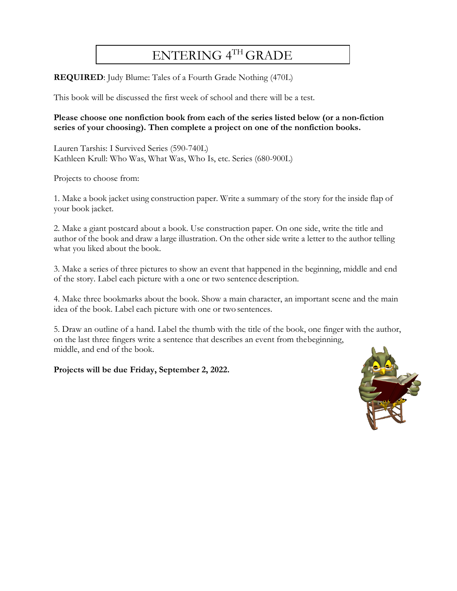### ENTERING 4TH GRADE

**REQUIRED**: Judy Blume: Tales of a Fourth Grade Nothing (470L)

This book will be discussed the first week of school and there will be a test.

#### **Please choose one nonfiction book from each of the series listed below (or a non-fiction series of your choosing). Then complete a project on one of the nonfiction books.**

Lauren Tarshis: I Survived Series (590-740L) Kathleen Krull: Who Was, What Was, Who Is, etc. Series (680-900L)

Projects to choose from:

1. Make a book jacket using construction paper. Write a summary of the story for the inside flap of your book jacket.

2. Make a giant postcard about a book. Use construction paper. On one side, write the title and author of the book and draw a large illustration. On the other side write a letter to the author telling what you liked about the book.

3. Make a series of three pictures to show an event that happened in the beginning, middle and end of the story. Label each picture with a one or two sentence description.

4. Make three bookmarks about the book. Show a main character, an important scene and the main idea of the book. Label each picture with one or two sentences.

5. Draw an outline of a hand. Label the thumb with the title of the book, one finger with the author, on the last three fingers write a sentence that describes an event from thebeginning, middle, and end of the book.

**Projects will be due Friday, September 2, 2022.**

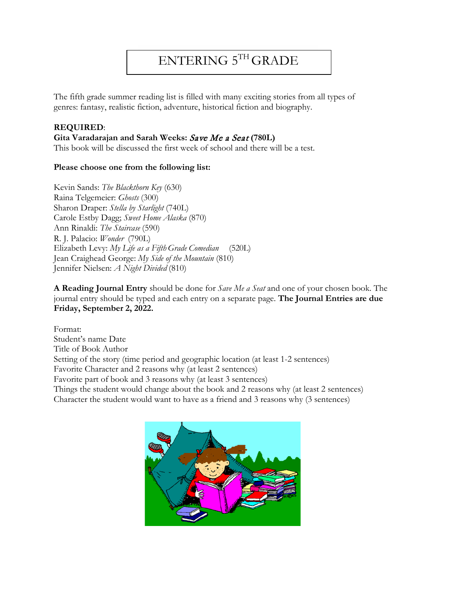# ENTERING 5TH GRADE

The fifth grade summer reading list is filled with many exciting stories from all types of genres: fantasy, realistic fiction, adventure, historical fiction and biography.

#### **REQUIRED**:

#### **Gita Varadarajan and Sarah Weeks:** Save Me a Seat **(780L)**

This book will be discussed the first week of school and there will be a test.

#### **Please choose one from the following list:**

Kevin Sands: *The Blackthorn Key* (630) Raina Telgemeier: *Ghosts* (300) Sharon Draper: *Stella by Starlight* (740L) Carole Estby Dagg; *Sweet Home Alaska* (870) Ann Rinaldi: *The Staircase* (590) R. J. Palacio: *Wonder* (790L) Elizabeth Levy: *My Life as a Fifth Grade Comedian* (520L) Jean Craighead George: *My Side of the Mountain* (810) Jennifer Nielsen: *A Night Divided* (810)

**A Reading Journal Entry** should be done for *Save Me a Seat* and one of your chosen book. The journal entry should be typed and each entry on a separate page. **The Journal Entries are due Friday, September 2, 2022.**

Format: Student's name Date Title of Book Author Setting of the story (time period and geographic location (at least 1-2 sentences) Favorite Character and 2 reasons why (at least 2 sentences) Favorite part of book and 3 reasons why (at least 3 sentences) Things the student would change about the book and 2 reasons why (at least 2 sentences) Character the student would want to have as a friend and 3 reasons why (3 sentences)

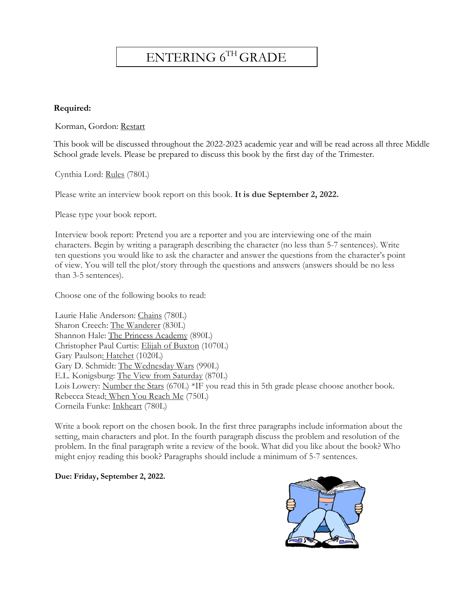### ENTERING 6TH GRADE

#### **Required:**

Korman, Gordon: Restart

This book will be discussed throughout the 2022-2023 academic year and will be read across all three Middle School grade levels. Please be prepared to discuss this book by the first day of the Trimester.

Cynthia Lord: Rules (780L)

Please write an interview book report on this book. **It is due September 2, 2022.**

Please type your book report.

Interview book report: Pretend you are a reporter and you are interviewing one of the main characters. Begin by writing a paragraph describing the character (no less than 5-7 sentences). Write ten questions you would like to ask the character and answer the questions from the character's point of view. You will tell the plot/story through the questions and answers (answers should be no less than 3-5 sentences).

Choose one of the following books to read:

Laurie Halie Anderson: Chains (780L) Sharon Creech: The Wanderer (830L) Shannon Hale: The Princess Academy (890L) Christopher Paul Curtis: Elijah of Buxton (1070L) Gary Paulson: Hatchet (1020L) Gary D. Schmidt: The Wednesday Wars (990L) E.L. Konigsburg: The View from Saturday (870L) Lois Lowery: Number the Stars (670L) \*IF you read this in 5th grade please choose another book. Rebecca Stead: When You Reach Me (750L) Corneila Funke: Inkheart (780L)

Write a book report on the chosen book. In the first three paragraphs include information about the setting, main characters and plot. In the fourth paragraph discuss the problem and resolution of the problem. In the final paragraph write a review of the book. What did you like about the book? Who might enjoy reading this book? Paragraphs should include a minimum of 5-7 sentences.

**Due: Friday, September 2, 2022.**

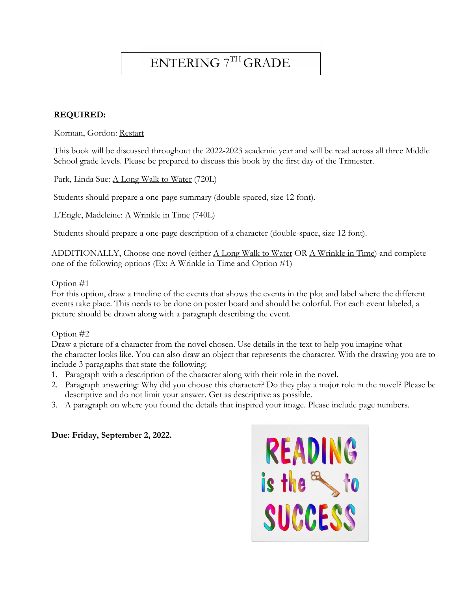### ENTERING 7TH GRADE

#### **REQUIRED:**

Korman, Gordon: Restart

This book will be discussed throughout the 2022-2023 academic year and will be read across all three Middle School grade levels. Please be prepared to discuss this book by the first day of the Trimester.

Park, Linda Sue: <u>A Long Walk to Water</u> (720L)

Students should prepare a one-page summary (double-spaced, size 12 font).

L'Engle, Madeleine: A Wrinkle in Time (740L)

Students should prepare a one-page description of a character (double-space, size 12 font).

ADDITIONALLY, Choose one novel (either A Long Walk to Water OR A Wrinkle in Time) and complete one of the following options (Ex: A Wrinkle in Time and Option #1)

#### Option #1

For this option, draw a timeline of the events that shows the events in the plot and label where the different events take place. This needs to be done on poster board and should be colorful. For each event labeled, a picture should be drawn along with a paragraph describing the event.

#### Option #2

Draw a picture of a character from the novel chosen. Use details in the text to help you imagine what the character looks like. You can also draw an object that represents the character. With the drawing you are to include 3 paragraphs that state the following:

- 1. Paragraph with a description of the character along with their role in the novel.
- 2. Paragraph answering: Why did you choose this character? Do they play a major role in the novel? Please be descriptive and do not limit your answer. Get as descriptive as possible.
- 3. A paragraph on where you found the details that inspired your image. Please include page numbers.

#### **Due: Friday, September 2, 2022.**